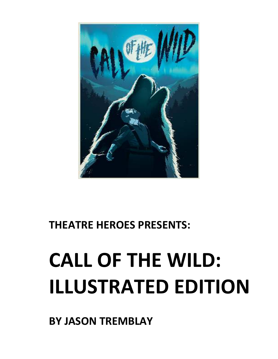**BY JASON TREMBLAY** 

# **CALL OF THE WILD: ILLUSTRATED EDITION**

**THEATRE HEROES PRESENTS:** 

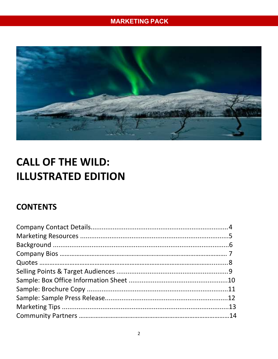

# **CALL OF THE WILD: ILLUSTRATED EDITION**

# **CONTENTS**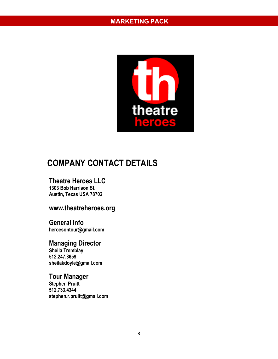

# **COMPANY CONTACT DETAILS**

#### **Theatre Heroes LLC**

**1303 Bob Harrison St. Austin, Texas USA 78702** 

## **www.theatreheroes.org**

**General Info heroesontour@gmail.com** 

**Managing Director Sheila Tremblay 512.247.8659 sheilakdoyle@gmail.com** 

#### **Tour Manager**

**Stephen Pruitt 512.733.4344 stephen.r.pruitt@gmail.com**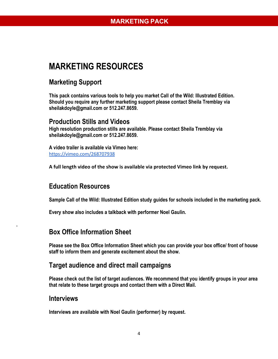# **MARKETING RESOURCES**

## **Marketing Support**

**This pack contains various tools to help you market Call of the Wild: Illustrated Edition. Should you require any further marketing support please contact Sheila Tremblay via sheilakdoyle@gmail.com or 512.247.8659.** 

#### **Production Stills and Videos**

**High resolution production stills are available. Please contact Sheila Tremblay via sheilakdoyle@gmail.com or 512.247.8659.** 

**A video trailer is available via Vimeo here:**  https://vimeo.com/268707938

**A full length video of the show is available via protected Vimeo link by request.**

#### **Education Resources**

**Sample Call of the Wild: Illustrated Edition study guides for schools included in the marketing pack.** 

**Every show also includes a talkback with performer Noel Gaulin.** 

#### **Box Office Information Sheet**

**Please see the Box Office Information Sheet which you can provide your box office/ front of house staff to inform them and generate excitement about the show.** 

#### **Target audience and direct mail campaigns**

**Please check out the list of target audiences. We recommend that you identify groups in your area that relate to these target groups and contact them with a Direct Mail.** 

#### **Interviews**

**.** 

**Interviews are available with Noel Gaulin (performer) by request.**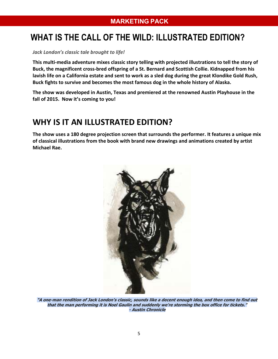# **WHAT IS THE CALL OF THE WILD: ILLUSTRATED EDITION?**

*Jack London's classic tale brought to life!* 

**This multi-media adventure mixes classic story telling with projected illustrations to tell the story of Buck, the magnificent cross-bred offspring of a St. Bernard and Scottish Collie. Kidnapped from his lavish life on a California estate and sent to work as a sled dog during the great Klondike Gold Rush, Buck fights to survive and becomes the most famous dog in the whole history of Alaska.** 

**The show was developed in Austin, Texas and premiered at the renowned Austin Playhouse in the fall of 2015. Now it's coming to you!** 

# **WHY IS IT AN ILLUSTRATED EDITION?**

**The show uses a 180 degree projection screen that surrounds the performer. It features a unique mix of classical illustrations from the book with brand new drawings and animations created by artist Michael Rae.** 



**"A one-man rendition of Jack London's classic, sounds like a decent enough idea, and then come to find out that the man performing it is Noel Gaulin and suddenly we're storming the box office for tickets." - Austin Chronicle**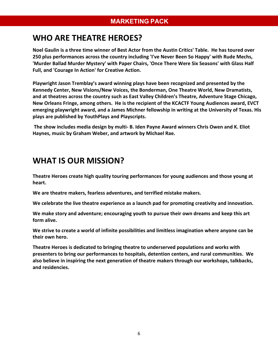## **WHO ARE THEATRE HEROES?**

**Noel Gaulin is a three time winner of Best Actor from the Austin Critics' Table. He has toured over 250 plus performances across the country including 'I've Never Been So Happy' with Rude Mechs, 'Murder Ballad Murder Mystery' with Paper Chairs, 'Once There Were Six Seasons' with Glass Half Full, and 'Courage In Action' for Creative Action.** 

**Playwright Jason Tremblay's award winning plays have been recognized and presented by the Kennedy Center, New Visions/New Voices, the Bonderman, One Theatre World, New Dramatists, and at theatres across the country such as East Valley Children's Theatre, Adventure Stage Chicago, New Orleans Fringe, among others. He is the recipient of the KCACTF Young Audiences award, EVCT emerging playwright award, and a James Michner fellowship in writing at the University of Texas. His plays are published by YouthPlays and Playscripts.** 

 **The show includes media design by multi- B. Iden Payne Award winners Chris Owen and K. Eliot Haynes, music by Graham Weber, and artwork by Michael Rae.** 

## **WHAT IS OUR MISSION?**

**Theatre Heroes create high quality touring performances for young audiences and those young at heart.** 

**We are theatre makers, fearless adventures, and terrified mistake makers.** 

 **We celebrate the live theatre experience as a launch pad for promoting creativity and innovation.** 

**We make story and adventure; encouraging youth to pursue their own dreams and keep this art form alive.** 

**We strive to create a world of infinite possibilities and limitless imagination where anyone can be their own hero.** 

**Theatre Heroes is dedicated to bringing theatre to underserved populations and works with presenters to bring our performances to hospitals, detention centers, and rural communities. We also believe in inspiring the next generation of theatre makers through our workshops, talkbacks, and residencies.**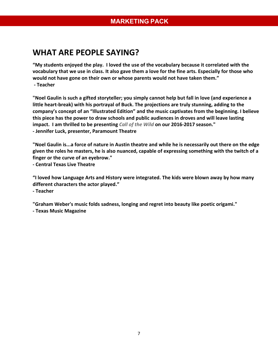## **WHAT ARE PEOPLE SAYING?**

**"My students enjoyed the play. I loved the use of the vocabulary because it correlated with the vocabulary that we use in class. It also gave them a love for the fine arts. Especially for those who would not have gone on their own or whose parents would not have taken them." - Teacher** 

**"Noel Gaulin is such a gifted storyteller; you simply cannot help but fall in love (and experience a little heart-break) with his portrayal of Buck. The projections are truly stunning, adding to the company's concept of an "Illustrated Edition" and the music captivates from the beginning. I believe this piece has the power to draw schools and public audiences in droves and will leave lasting impact. I am thrilled to be presenting** *Call of the Wild* **on our 2016-2017 season." - Jennifer Luck, presenter, Paramount Theatre** 

**"Noel Gaulin is...a force of nature in Austin theatre and while he is necessarily out there on the edge given the roles he masters, he is also nuanced, capable of expressing something with the twitch of a finger or the curve of an eyebrow."** 

**- Central Texas Live Theatre** 

**"I loved how Language Arts and History were integrated. The kids were blown away by how many different characters the actor played."** 

**- Teacher** 

**"Graham Weber's music folds sadness, longing and regret into beauty like poetic origami."** 

**- Texas Music Magazine**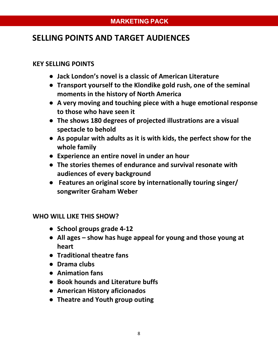## **SELLING POINTS AND TARGET AUDIENCES**

#### **KEY SELLING POINTS**

- **Jack London's novel is a classic of American Literature**
- **Transport yourself to the Klondike gold rush, one of the seminal moments in the history of North America**
- **A very moving and touching piece with a huge emotional response to those who have seen it**
- **The shows 180 degrees of projected illustrations are a visual spectacle to behold**
- **As popular with adults as it is with kids, the perfect show for the whole family**
- **Experience an entire novel in under an hour**
- **The stories themes of endurance and survival resonate with audiences of every background**
- ● **Features an original score by internationally touring singer/ songwriter Graham Weber**

#### **WHO WILL LIKE THIS SHOW?**

- **School groups grade 4-12**
- **All ages show has huge appeal for young and those young at heart**
- **Traditional theatre fans**
- **Drama clubs**
- **Animation fans**
- **Book hounds and Literature buffs**
- **American History aficionados**
- **Theatre and Youth group outing**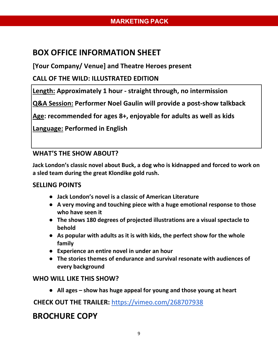# **BOX OFFICE INFORMATION SHEET**

**[Your Company/ Venue] and Theatre Heroes present** 

#### **CALL OF THE WILD: ILLUSTRATED EDITION**

**Length: Approximately 1 hour - straight through, no intermission** 

**Q&A Session: Performer Noel Gaulin will provide a post-show talkback** 

**Age: recommended for ages 8+, enjoyable for adults as well as kids** 

**Language: Performed in English** 

#### **WHAT'S THE SHOW ABOUT?**

**Jack London's classic novel about Buck, a dog who is kidnapped and forced to work on a sled team during the great Klondike gold rush.** 

#### **SELLING POINTS**

- **Jack London's novel is a classic of American Literature**
- **A very moving and touching piece with a huge emotional response to those who have seen it**
- **The shows 180 degrees of projected illustrations are a visual spectacle to behold**
- **As popular with adults as it is with kids, the perfect show for the whole family**
- **Experience an entire novel in under an hour**
- **The stories themes of endurance and survival resonate with audiences of every background**

#### **WHO WILL LIKE THIS SHOW?**

● **All ages – show has huge appeal for young and those young at heart** 

## **CHECK OUT THE TRAILER:** https://vimeo.com/268707938

## **BROCHURE COPY**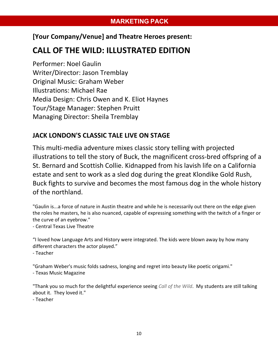#### **[Your Company/Venue] and Theatre Heroes present:**

## **CALL OF THE WILD: ILLUSTRATED EDITION**

Performer: Noel Gaulin Writer/Director: Jason Tremblay Original Music: Graham Weber Illustrations: Michael Rae Media Design: Chris Owen and K. Eliot Haynes Tour/Stage Manager: Stephen Pruitt Managing Director: Sheila Tremblay

#### **JACK LONDON'S CLASSIC TALE LIVE ON STAGE**

This multi-media adventure mixes classic story telling with projected illustrations to tell the story of Buck, the magnificent cross-bred offspring of a St. Bernard and Scottish Collie. Kidnapped from his lavish life on a California estate and sent to work as a sled dog during the great Klondike Gold Rush, Buck fights to survive and becomes the most famous dog in the whole history of the northland.

"Gaulin is...a force of nature in Austin theatre and while he is necessarily out there on the edge given the roles he masters, he is also nuanced, capable of expressing something with the twitch of a finger or the curve of an eyebrow."

- Central Texas Live Theatre

"I loved how Language Arts and History were integrated. The kids were blown away by how many different characters the actor played."

- Teacher

"Graham Weber's music folds sadness, longing and regret into beauty like poetic origami."

- Texas Music Magazine

"Thank you so much for the delightful experience seeing *Call of the Wild*. My students are still talking about it. They loved it."

- Teacher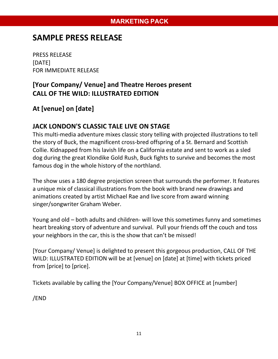## **SAMPLE PRESS RELEASE**

PRESS RELEASE [DATE] FOR IMMEDIATE RELEASE

## **[Your Company/ Venue] and Theatre Heroes present CALL OF THE WILD: ILLUSTRATED EDITION**

## **At [venue] on [date]**

#### **JACK LONDON'S CLASSIC TALE LIVE ON STAGE**

This multi-media adventure mixes classic story telling with projected illustrations to tell the story of Buck, the magnificent cross-bred offspring of a St. Bernard and Scottish Collie. Kidnapped from his lavish life on a California estate and sent to work as a sled dog during the great Klondike Gold Rush, Buck fights to survive and becomes the most famous dog in the whole history of the northland.

The show uses a 180 degree projection screen that surrounds the performer. It features a unique mix of classical illustrations from the book with brand new drawings and animations created by artist Michael Rae and live score from award winning singer/songwriter Graham Weber.

Young and old – both adults and children- will love this sometimes funny and sometimes heart breaking story of adventure and survival. Pull your friends off the couch and toss your neighbors in the car, this is the show that can't be missed!

[Your Company/ Venue] is delighted to present this gorgeous production, CALL OF THE WILD: ILLUSTRATED EDITION will be at [venue] on [date] at [time] with tickets priced from [price] to [price].

Tickets available by calling the [Your Company/Venue] BOX OFFICE at [number]

/END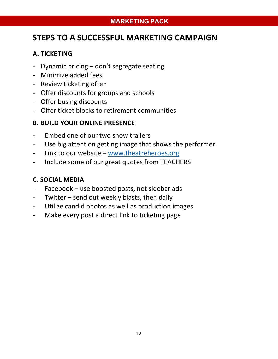## **STEPS TO A SUCCESSFUL MARKETING CAMPAIGN**

#### **A. TICKETING**

- Dynamic pricing don't segregate seating
- Minimize added fees
- Review ticketing often
- Offer discounts for groups and schools
- Offer busing discounts
- Offer ticket blocks to retirement communities

#### **B. BUILD YOUR ONLINE PRESENCE**

- Embed one of our two show trailers
- Use big attention getting image that shows the performer
- Link to our website www.theatreheroes.org
- Include some of our great quotes from TEACHERS

#### **C. SOCIAL MEDIA**

- Facebook use boosted posts, not sidebar ads
- Twitter send out weekly blasts, then daily
- Utilize candid photos as well as production images
- Make every post a direct link to ticketing page